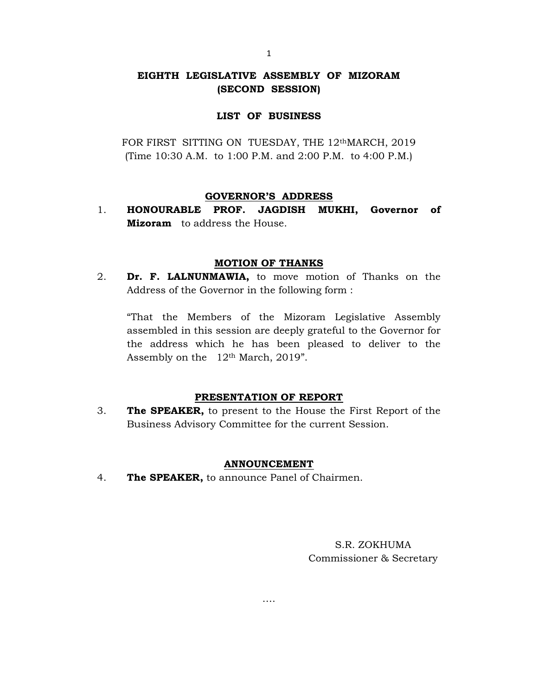# EIGHTH LEGISLATIVE ASSEMBLY OF MIZORAM (SECOND SESSION)

## LIST OF BUSINESS

FOR FIRST SITTING ON TUESDAY, THE 12<sup>th</sup>MARCH, 2019 (Time 10:30 A.M. to 1:00 P.M. and 2:00 P.M. to 4:00 P.M.)

### GOVERNOR'S ADDRESS

1. HONOURABLE PROF. JAGDISH MUKHI, Governor of **Mizoram** to address the House.

### MOTION OF THANKS

2. Dr. F. LALNUNMAWIA, to move motion of Thanks on the Address of the Governor in the following form :

"That the Members of the Mizoram Legislative Assembly assembled in this session are deeply grateful to the Governor for the address which he has been pleased to deliver to the Assembly on the 12<sup>th</sup> March, 2019".

#### PRESENTATION OF REPORT

3. The SPEAKER, to present to the House the First Report of the Business Advisory Committee for the current Session.

## ANNOUNCEMENT

….

4. The SPEAKER, to announce Panel of Chairmen.

S.R. ZOKHUMA Commissioner & Secretary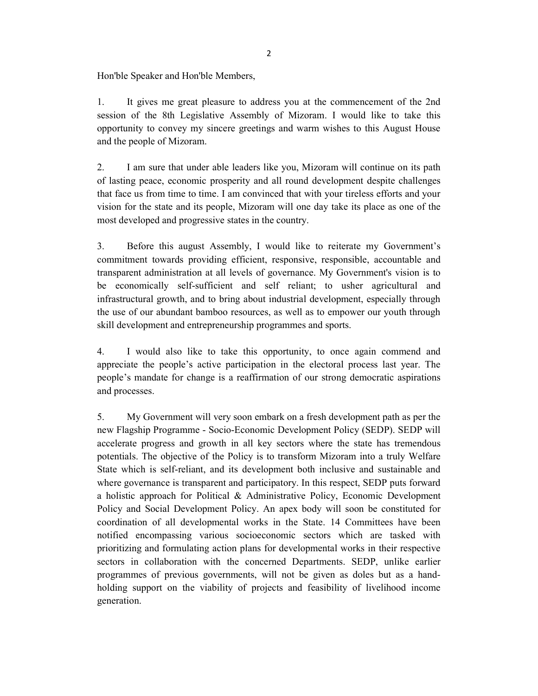Hon'ble Speaker and Hon'ble Members,

1. It gives me great pleasure to address you at the commencement of the 2nd session of the 8th Legislative Assembly of Mizoram. I would like to take this opportunity to convey my sincere greetings and warm wishes to this August House and the people of Mizoram.

2. I am sure that under able leaders like you, Mizoram will continue on its path of lasting peace, economic prosperity and all round development despite challenges that face us from time to time. I am convinced that with your tireless efforts and your vision for the state and its people, Mizoram will one day take its place as one of the most developed and progressive states in the country.

3. Before this august Assembly, I would like to reiterate my Government's commitment towards providing efficient, responsive, responsible, accountable and transparent administration at all levels of governance. My Government's vision is to be economically self-sufficient and self reliant; to usher agricultural and infrastructural growth, and to bring about industrial development, especially through the use of our abundant bamboo resources, as well as to empower our youth through skill development and entrepreneurship programmes and sports.

4. I would also like to take this opportunity, to once again commend and appreciate the people's active participation in the electoral process last year. The people's mandate for change is a reaffirmation of our strong democratic aspirations and processes.

5. My Government will very soon embark on a fresh development path as per the new Flagship Programme - Socio-Economic Development Policy (SEDP). SEDP will accelerate progress and growth in all key sectors where the state has tremendous potentials. The objective of the Policy is to transform Mizoram into a truly Welfare State which is self-reliant, and its development both inclusive and sustainable and where governance is transparent and participatory. In this respect, SEDP puts forward a holistic approach for Political & Administrative Policy, Economic Development Policy and Social Development Policy. An apex body will soon be constituted for coordination of all developmental works in the State. 14 Committees have been notified encompassing various socioeconomic sectors which are tasked with prioritizing and formulating action plans for developmental works in their respective sectors in collaboration with the concerned Departments. SEDP, unlike earlier programmes of previous governments, will not be given as doles but as a handholding support on the viability of projects and feasibility of livelihood income generation.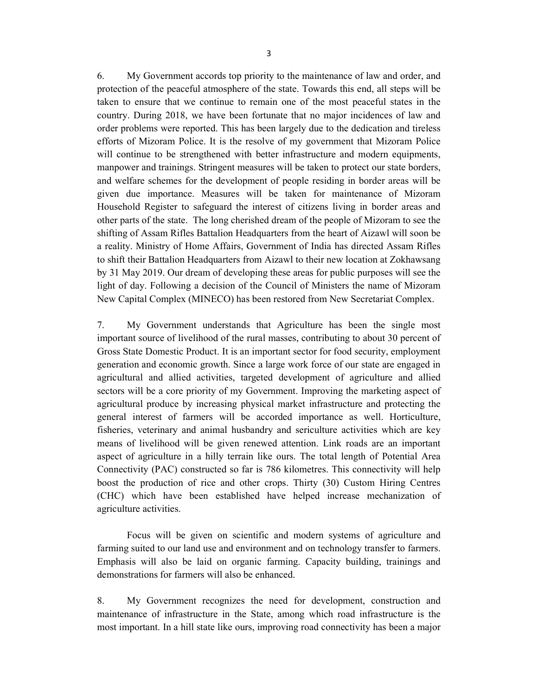6. My Government accords top priority to the maintenance of law and order, and protection of the peaceful atmosphere of the state. Towards this end, all steps will be taken to ensure that we continue to remain one of the most peaceful states in the country. During 2018, we have been fortunate that no major incidences of law and order problems were reported. This has been largely due to the dedication and tireless efforts of Mizoram Police. It is the resolve of my government that Mizoram Police will continue to be strengthened with better infrastructure and modern equipments, manpower and trainings. Stringent measures will be taken to protect our state borders, and welfare schemes for the development of people residing in border areas will be given due importance. Measures will be taken for maintenance of Mizoram Household Register to safeguard the interest of citizens living in border areas and other parts of the state. The long cherished dream of the people of Mizoram to see the shifting of Assam Rifles Battalion Headquarters from the heart of Aizawl will soon be a reality. Ministry of Home Affairs, Government of India has directed Assam Rifles to shift their Battalion Headquarters from Aizawl to their new location at Zokhawsang by 31 May 2019. Our dream of developing these areas for public purposes will see the light of day. Following a decision of the Council of Ministers the name of Mizoram New Capital Complex (MINECO) has been restored from New Secretariat Complex.

7. My Government understands that Agriculture has been the single most important source of livelihood of the rural masses, contributing to about 30 percent of Gross State Domestic Product. It is an important sector for food security, employment generation and economic growth. Since a large work force of our state are engaged in agricultural and allied activities, targeted development of agriculture and allied sectors will be a core priority of my Government. Improving the marketing aspect of agricultural produce by increasing physical market infrastructure and protecting the general interest of farmers will be accorded importance as well. Horticulture, fisheries, veterinary and animal husbandry and sericulture activities which are key means of livelihood will be given renewed attention. Link roads are an important aspect of agriculture in a hilly terrain like ours. The total length of Potential Area Connectivity (PAC) constructed so far is 786 kilometres. This connectivity will help boost the production of rice and other crops. Thirty (30) Custom Hiring Centres (CHC) which have been established have helped increase mechanization of agriculture activities.

Focus will be given on scientific and modern systems of agriculture and farming suited to our land use and environment and on technology transfer to farmers. Emphasis will also be laid on organic farming. Capacity building, trainings and demonstrations for farmers will also be enhanced.

8. My Government recognizes the need for development, construction and maintenance of infrastructure in the State, among which road infrastructure is the most important. In a hill state like ours, improving road connectivity has been a major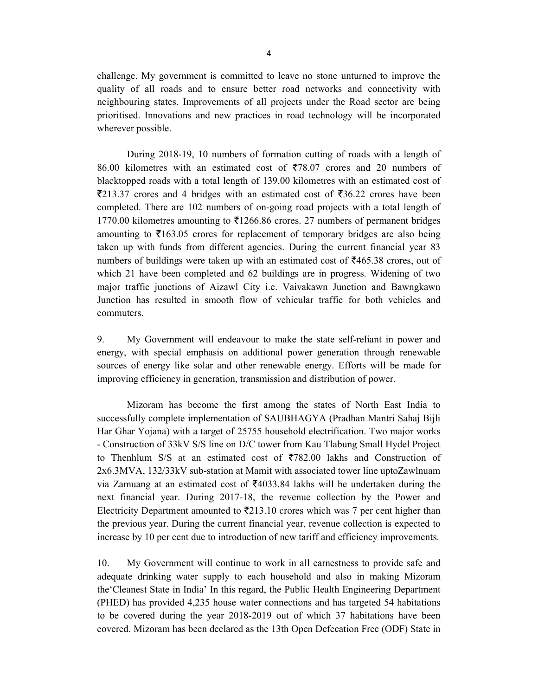challenge. My government is committed to leave no stone unturned to improve the quality of all roads and to ensure better road networks and connectivity with neighbouring states. Improvements of all projects under the Road sector are being prioritised. Innovations and new practices in road technology will be incorporated wherever possible.

During 2018-19, 10 numbers of formation cutting of roads with a length of 86.00 kilometres with an estimated cost of  $\overline{5}78.07$  crores and 20 numbers of blacktopped roads with a total length of 139.00 kilometres with an estimated cost of  $\overline{2}213.37$  crores and 4 bridges with an estimated cost of  $\overline{2}36.22$  crores have been completed. There are 102 numbers of on-going road projects with a total length of 1770.00 kilometres amounting to  $\overline{5}1266.86$  crores. 27 numbers of permanent bridges amounting to  $\overline{5163.05}$  crores for replacement of temporary bridges are also being taken up with funds from different agencies. During the current financial year 83 numbers of buildings were taken up with an estimated cost of  $\overline{5465.38}$  crores, out of which 21 have been completed and 62 buildings are in progress. Widening of two major traffic junctions of Aizawl City i.e. Vaivakawn Junction and Bawngkawn Junction has resulted in smooth flow of vehicular traffic for both vehicles and commuters.

9. My Government will endeavour to make the state self-reliant in power and energy, with special emphasis on additional power generation through renewable sources of energy like solar and other renewable energy. Efforts will be made for improving efficiency in generation, transmission and distribution of power.

Mizoram has become the first among the states of North East India to successfully complete implementation of SAUBHAGYA (Pradhan Mantri Sahaj Bijli Har Ghar Yojana) with a target of 25755 household electrification. Two major works - Construction of 33kV S/S line on D/C tower from Kau Tlabung Small Hydel Project to Thenhlum S/S at an estimated cost of  $\overline{5782.00}$  lakhs and Construction of 2x6.3MVA, 132/33kV sub-station at Mamit with associated tower line uptoZawlnuam via Zamuang at an estimated cost of  $\text{\textdegree}$  4033.84 lakhs will be undertaken during the next financial year. During 2017-18, the revenue collection by the Power and Electricity Department amounted to  $\overline{2}213.10$  crores which was 7 per cent higher than the previous year. During the current financial year, revenue collection is expected to increase by 10 per cent due to introduction of new tariff and efficiency improvements.

10. My Government will continue to work in all earnestness to provide safe and adequate drinking water supply to each household and also in making Mizoram the'Cleanest State in India' In this regard, the Public Health Engineering Department (PHED) has provided 4,235 house water connections and has targeted 54 habitations to be covered during the year 2018-2019 out of which 37 habitations have been covered. Mizoram has been declared as the 13th Open Defecation Free (ODF) State in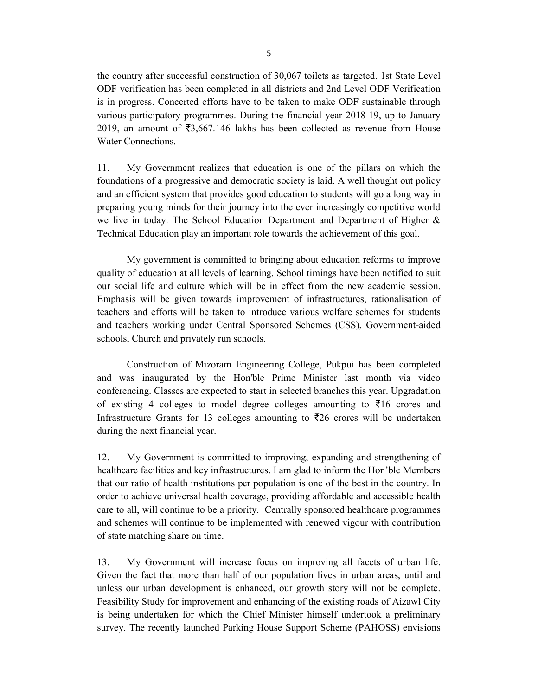the country after successful construction of 30,067 toilets as targeted. 1st State Level ODF verification has been completed in all districts and 2nd Level ODF Verification is in progress. Concerted efforts have to be taken to make ODF sustainable through various participatory programmes. During the financial year 2018-19, up to January 2019, an amount of  $\overline{53,667.146}$  lakhs has been collected as revenue from House Water Connections.

11. My Government realizes that education is one of the pillars on which the foundations of a progressive and democratic society is laid. A well thought out policy and an efficient system that provides good education to students will go a long way in preparing young minds for their journey into the ever increasingly competitive world we live in today. The School Education Department and Department of Higher & Technical Education play an important role towards the achievement of this goal.

My government is committed to bringing about education reforms to improve quality of education at all levels of learning. School timings have been notified to suit our social life and culture which will be in effect from the new academic session. Emphasis will be given towards improvement of infrastructures, rationalisation of teachers and efforts will be taken to introduce various welfare schemes for students and teachers working under Central Sponsored Schemes (CSS), Government-aided schools, Church and privately run schools.

Construction of Mizoram Engineering College, Pukpui has been completed and was inaugurated by the Hon'ble Prime Minister last month via video conferencing. Classes are expected to start in selected branches this year. Upgradation of existing 4 colleges to model degree colleges amounting to  $\bar{\tau}$ 16 crores and Infrastructure Grants for 13 colleges amounting to  $\overline{z}26$  crores will be undertaken during the next financial year.

12. My Government is committed to improving, expanding and strengthening of healthcare facilities and key infrastructures. I am glad to inform the Hon'ble Members that our ratio of health institutions per population is one of the best in the country. In order to achieve universal health coverage, providing affordable and accessible health care to all, will continue to be a priority. Centrally sponsored healthcare programmes and schemes will continue to be implemented with renewed vigour with contribution of state matching share on time.

13. My Government will increase focus on improving all facets of urban life. Given the fact that more than half of our population lives in urban areas, until and unless our urban development is enhanced, our growth story will not be complete. Feasibility Study for improvement and enhancing of the existing roads of Aizawl City is being undertaken for which the Chief Minister himself undertook a preliminary survey. The recently launched Parking House Support Scheme (PAHOSS) envisions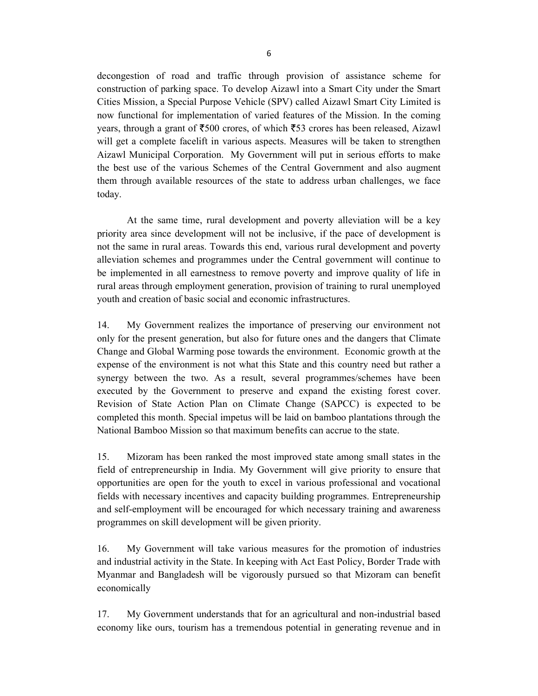decongestion of road and traffic through provision of assistance scheme for construction of parking space. To develop Aizawl into a Smart City under the Smart Cities Mission, a Special Purpose Vehicle (SPV) called Aizawl Smart City Limited is now functional for implementation of varied features of the Mission. In the coming years, through a grant of  $\text{\textsterling}500$  crores, of which  $\text{\textsterling}53$  crores has been released, Aizawl will get a complete facelift in various aspects. Measures will be taken to strengthen Aizawl Municipal Corporation. My Government will put in serious efforts to make the best use of the various Schemes of the Central Government and also augment them through available resources of the state to address urban challenges, we face today.

 At the same time, rural development and poverty alleviation will be a key priority area since development will not be inclusive, if the pace of development is not the same in rural areas. Towards this end, various rural development and poverty alleviation schemes and programmes under the Central government will continue to be implemented in all earnestness to remove poverty and improve quality of life in rural areas through employment generation, provision of training to rural unemployed youth and creation of basic social and economic infrastructures.

14. My Government realizes the importance of preserving our environment not only for the present generation, but also for future ones and the dangers that Climate Change and Global Warming pose towards the environment. Economic growth at the expense of the environment is not what this State and this country need but rather a synergy between the two. As a result, several programmes/schemes have been executed by the Government to preserve and expand the existing forest cover. Revision of State Action Plan on Climate Change (SAPCC) is expected to be completed this month. Special impetus will be laid on bamboo plantations through the National Bamboo Mission so that maximum benefits can accrue to the state.

15. Mizoram has been ranked the most improved state among small states in the field of entrepreneurship in India. My Government will give priority to ensure that opportunities are open for the youth to excel in various professional and vocational fields with necessary incentives and capacity building programmes. Entrepreneurship and self-employment will be encouraged for which necessary training and awareness programmes on skill development will be given priority.

16. My Government will take various measures for the promotion of industries and industrial activity in the State. In keeping with Act East Policy, Border Trade with Myanmar and Bangladesh will be vigorously pursued so that Mizoram can benefit economically

17. My Government understands that for an agricultural and non-industrial based economy like ours, tourism has a tremendous potential in generating revenue and in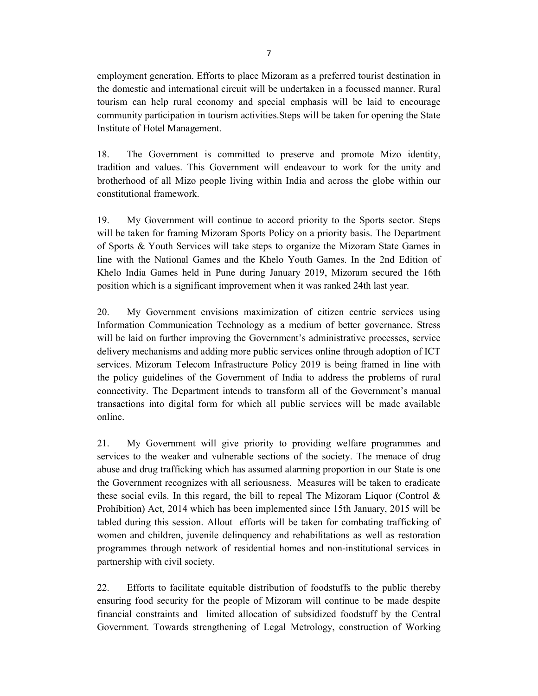employment generation. Efforts to place Mizoram as a preferred tourist destination in the domestic and international circuit will be undertaken in a focussed manner. Rural tourism can help rural economy and special emphasis will be laid to encourage community participation in tourism activities.Steps will be taken for opening the State Institute of Hotel Management.

18. The Government is committed to preserve and promote Mizo identity, tradition and values. This Government will endeavour to work for the unity and brotherhood of all Mizo people living within India and across the globe within our constitutional framework.

19. My Government will continue to accord priority to the Sports sector. Steps will be taken for framing Mizoram Sports Policy on a priority basis. The Department of Sports & Youth Services will take steps to organize the Mizoram State Games in line with the National Games and the Khelo Youth Games. In the 2nd Edition of Khelo India Games held in Pune during January 2019, Mizoram secured the 16th position which is a significant improvement when it was ranked 24th last year.

20. My Government envisions maximization of citizen centric services using Information Communication Technology as a medium of better governance. Stress will be laid on further improving the Government's administrative processes, service delivery mechanisms and adding more public services online through adoption of ICT services. Mizoram Telecom Infrastructure Policy 2019 is being framed in line with the policy guidelines of the Government of India to address the problems of rural connectivity. The Department intends to transform all of the Government's manual transactions into digital form for which all public services will be made available online.

21. My Government will give priority to providing welfare programmes and services to the weaker and vulnerable sections of the society. The menace of drug abuse and drug trafficking which has assumed alarming proportion in our State is one the Government recognizes with all seriousness. Measures will be taken to eradicate these social evils. In this regard, the bill to repeal The Mizoram Liquor (Control  $\&$ Prohibition) Act, 2014 which has been implemented since 15th January, 2015 will be tabled during this session. Allout efforts will be taken for combating trafficking of women and children, juvenile delinquency and rehabilitations as well as restoration programmes through network of residential homes and non-institutional services in partnership with civil society.

22. Efforts to facilitate equitable distribution of foodstuffs to the public thereby ensuring food security for the people of Mizoram will continue to be made despite financial constraints and limited allocation of subsidized foodstuff by the Central Government. Towards strengthening of Legal Metrology, construction of Working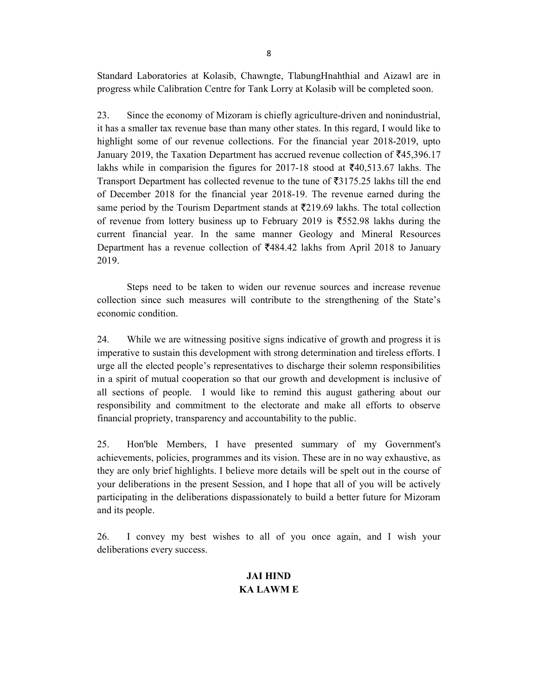Standard Laboratories at Kolasib, Chawngte, TlabungHnahthial and Aizawl are in progress while Calibration Centre for Tank Lorry at Kolasib will be completed soon.

23. Since the economy of Mizoram is chiefly agriculture-driven and nonindustrial, it has a smaller tax revenue base than many other states. In this regard, I would like to highlight some of our revenue collections. For the financial year 2018-2019, upto January 2019, the Taxation Department has accrued revenue collection of  $\bar{z}$ 45,396.17 lakhs while in comparision the figures for 2017-18 stood at  $\text{\textless}140,513.67$  lakhs. The Transport Department has collected revenue to the tune of  $\overline{3}3175.25$  lakhs till the end of December 2018 for the financial year 2018-19. The revenue earned during the same period by the Tourism Department stands at  $\overline{5}$ 219.69 lakhs. The total collection of revenue from lottery business up to February 2019 is  $\overline{\xi}$ 552.98 lakhs during the current financial year. In the same manner Geology and Mineral Resources Department has a revenue collection of  $\overline{\xi}$ 484.42 lakhs from April 2018 to January 2019.

Steps need to be taken to widen our revenue sources and increase revenue collection since such measures will contribute to the strengthening of the State's economic condition.

24. While we are witnessing positive signs indicative of growth and progress it is imperative to sustain this development with strong determination and tireless efforts. I urge all the elected people's representatives to discharge their solemn responsibilities in a spirit of mutual cooperation so that our growth and development is inclusive of all sections of people. I would like to remind this august gathering about our responsibility and commitment to the electorate and make all efforts to observe financial propriety, transparency and accountability to the public.

25. Hon'ble Members, I have presented summary of my Government's achievements, policies, programmes and its vision. These are in no way exhaustive, as they are only brief highlights. I believe more details will be spelt out in the course of your deliberations in the present Session, and I hope that all of you will be actively participating in the deliberations dispassionately to build a better future for Mizoram and its people.

26. I convey my best wishes to all of you once again, and I wish your deliberations every success.

# JAI HIND KA LAWM E